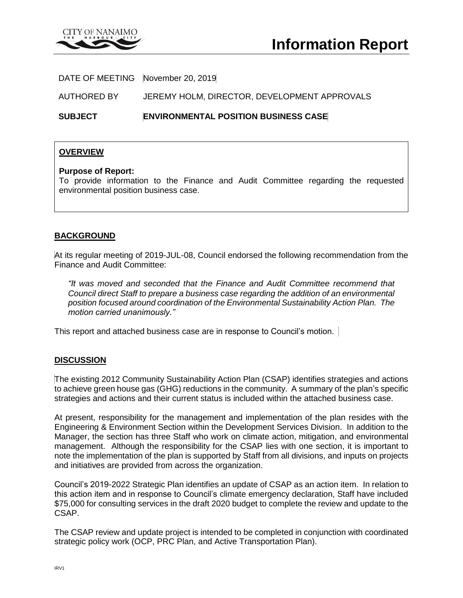

DATE OF MEETING November 20, 2019

AUTHORED BY JEREMY HOLM, DIRECTOR, DEVELOPMENT APPROVALS

**SUBJECT ENVIRONMENTAL POSITION BUSINESS CASE**

### **OVERVIEW**

#### **Purpose of Report:**

To provide information to the Finance and Audit Committee regarding the requested environmental position business case.

### **BACKGROUND**

At its regular meeting of 2019-JUL-08, Council endorsed the following recommendation from the Finance and Audit Committee:

*"It was moved and seconded that the Finance and Audit Committee recommend that Council direct Staff to prepare a business case regarding the addition of an environmental position focused around coordination of the Environmental Sustainability Action Plan. The motion carried unanimously."*

This report and attached business case are in response to Council's motion.

### **DISCUSSION**

The existing 2012 Community Sustainability Action Plan (CSAP) identifies strategies and actions to achieve green house gas (GHG) reductions in the community. A summary of the plan's specific strategies and actions and their current status is included within the attached business case.

At present, responsibility for the management and implementation of the plan resides with the Engineering & Environment Section within the Development Services Division. In addition to the Manager, the section has three Staff who work on climate action, mitigation, and environmental management. Although the responsibility for the CSAP lies with one section, it is important to note the implementation of the plan is supported by Staff from all divisions, and inputs on projects and initiatives are provided from across the organization.

Council's 2019-2022 Strategic Plan identifies an update of CSAP as an action item. In relation to this action item and in response to Council's climate emergency declaration, Staff have included \$75,000 for consulting services in the draft 2020 budget to complete the review and update to the CSAP.

The CSAP review and update project is intended to be completed in conjunction with coordinated strategic policy work (OCP, PRC Plan, and Active Transportation Plan).